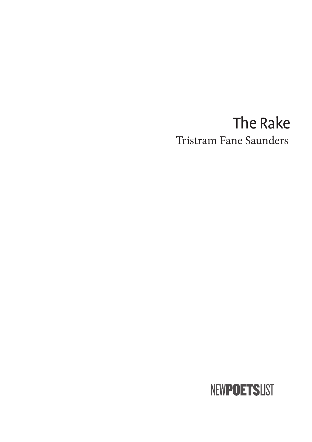## The Rake Tristram Fane Saunders

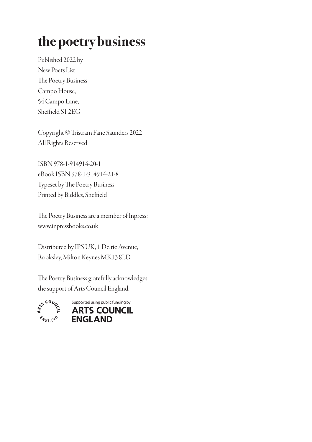# the poetry business

Published 2022 by New Poets List The Poetry Business Campo House, 54 Campo Lane, Sheffield S1 2EG

Copyright © Tristram Fane Saunders 2022 All Rights Reserved

ISBN 978-1-914914-20-1 eBook ISBN 978-1-914914-21-8 Typeset by The Poetry Business Printed by Biddles, Sheffield

The Poetry Business are a member of Inpress: www.inpressbooks.co.uk

Distributed by IPS UK, 1 Deltic Avenue, Rooksley, Milton Keynes MK13 8LD

The Poetry Business gratefully acknowledges the support of Arts Council England.



Supported using public funding by<br>
ARTS COUNCIL  $\gamma_{G|A^{N}}$  ENGLAND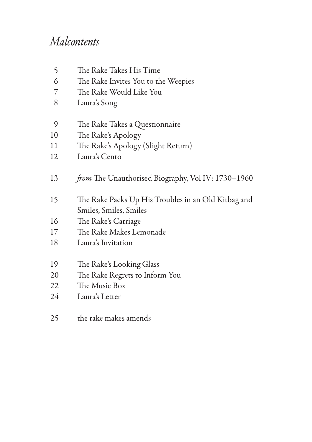### *Malcontents*

| 5  | The Rake Takes His Time                                                       |
|----|-------------------------------------------------------------------------------|
| 6  | The Rake Invites You to the Weepies                                           |
| 7  | The Rake Would Like You                                                       |
| 8  | Laura's Song                                                                  |
| 9  | The Rake Takes a Questionnaire                                                |
| 10 | The Rake's Apology                                                            |
| 11 | The Rake's Apology (Slight Return)                                            |
| 12 | Laura's Cento                                                                 |
| 13 | <i>from</i> The Unauthorised Biography, Vol IV: 1730-1960                     |
| 15 | The Rake Packs Up His Troubles in an Old Kitbag and<br>Smiles, Smiles, Smiles |
| 16 | The Rake's Carriage                                                           |
| 17 | The Rake Makes Lemonade                                                       |
| 18 | Laura's Invitation                                                            |
| 19 | The Rake's Looking Glass                                                      |
| 20 | The Rake Regrets to Inform You                                                |
| 22 | The Music Box                                                                 |
| 24 | Laura's Letter                                                                |
|    |                                                                               |

the rake makes amends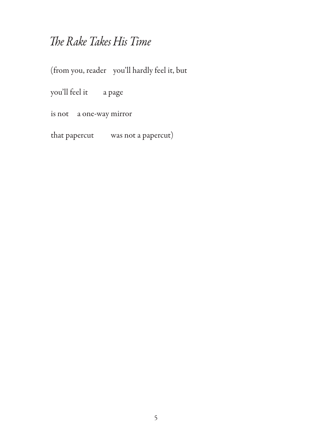#### The Rake Takes His Time

(from you, reader you'll hardly feel it, but

you'll feel it a page

is not a one-way mirror

that papercut was not a papercut)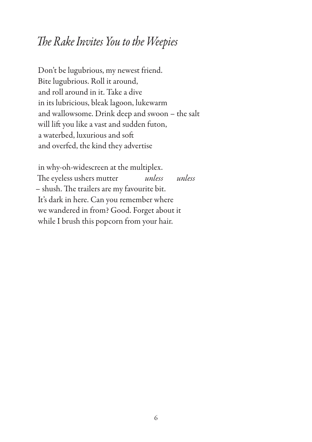#### "*e Rake In*v*ites You to the Weepies*

Don't be lugubrious, my newest friend. Bite lugubrious. Roll it around, and roll around in it. Take a dive in its lubricious, bleak lagoon, lukewarm and wallowsome. Drink deep and swoon – the salt will lift you like a vast and sudden futon, a waterbed, luxurious and soft and overfed, the kind they advertise

in why-oh-widescreen at the multiplex. The eyeless ushers mutter *unless unless* - shush. The trailers are my favourite bit. It's dark in here. Can you remember where we wandered in from? Good. Forget about it while I brush this popcorn from your hair.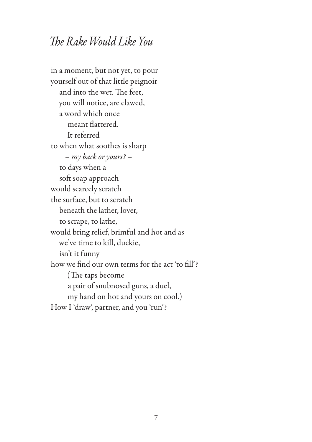#### *The Rake Would Like You*

in a moment, but not yet, to pour yourself out of that little peignoir and into the wet. The feet, you will notice, are clawed, a word which once meant flattered. It referred to when what soothes is sharp – *my back or yours?* – to days when a soft soap approach would scarcely scratch the surface, but to scratch beneath the lather, lover, to scrape, to lathe, would bring relief, brimful and hot and as we've time to kill, duckie, isn't it funny how we find our own terms for the act 'to fill'? (The taps become a pair of snubnosed guns, a duel, my hand on hot and yours on cool.) How I 'draw', partner, and you 'run'?